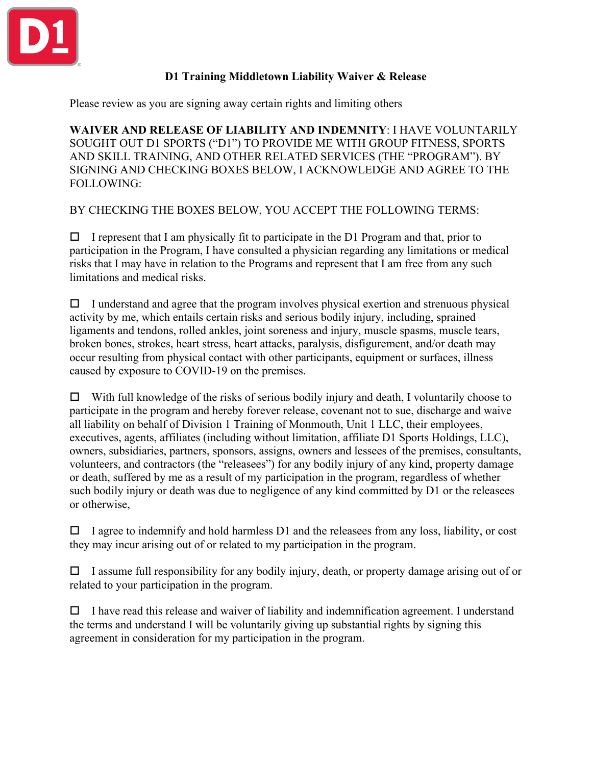

## **D1 Training Middletown Liability Waiver & Release**

Please review as you are signing away certain rights and limiting others

**WAIVER AND RELEASE OF LIABILITY AND INDEMNITY**: I HAVE VOLUNTARILY SOUGHT OUT D1 SPORTS ("D1") TO PROVIDE ME WITH GROUP FITNESS, SPORTS AND SKILL TRAINING, AND OTHER RELATED SERVICES (THE "PROGRAM"). BY SIGNING AND CHECKING BOXES BELOW, I ACKNOWLEDGE AND AGREE TO THE FOLLOWING:

BY CHECKING THE BOXES BELOW, YOU ACCEPT THE FOLLOWING TERMS:

 $\Box$  I represent that I am physically fit to participate in the D1 Program and that, prior to participation in the Program, I have consulted a physician regarding any limitations or medical risks that I may have in relation to the Programs and represent that I am free from any such limitations and medical risks.

 $\Box$  I understand and agree that the program involves physical exertion and strenuous physical activity by me, which entails certain risks and serious bodily injury, including, sprained ligaments and tendons, rolled ankles, joint soreness and injury, muscle spasms, muscle tears, broken bones, strokes, heart stress, heart attacks, paralysis, disfigurement, and/or death may occur resulting from physical contact with other participants, equipment or surfaces, illness caused by exposure to COVID-19 on the premises.

 $\Box$  With full knowledge of the risks of serious bodily injury and death, I voluntarily choose to participate in the program and hereby forever release, covenant not to sue, discharge and waive all liability on behalf of Division 1 Training of Monmouth, Unit 1 LLC, their employees, executives, agents, affiliates (including without limitation, affiliate D1 Sports Holdings, LLC), owners, subsidiaries, partners, sponsors, assigns, owners and lessees of the premises, consultants, volunteers, and contractors (the "releasees") for any bodily injury of any kind, property damage or death, suffered by me as a result of my participation in the program, regardless of whether such bodily injury or death was due to negligence of any kind committed by D1 or the releasees or otherwise,

 $\Box$  I agree to indemnify and hold harmless D1 and the releasees from any loss, liability, or cost they may incur arising out of or related to my participation in the program.

 $\Box$  I assume full responsibility for any bodily injury, death, or property damage arising out of or related to your participation in the program.

 $\Box$  I have read this release and waiver of liability and indemnification agreement. I understand the terms and understand I will be voluntarily giving up substantial rights by signing this agreement in consideration for my participation in the program.